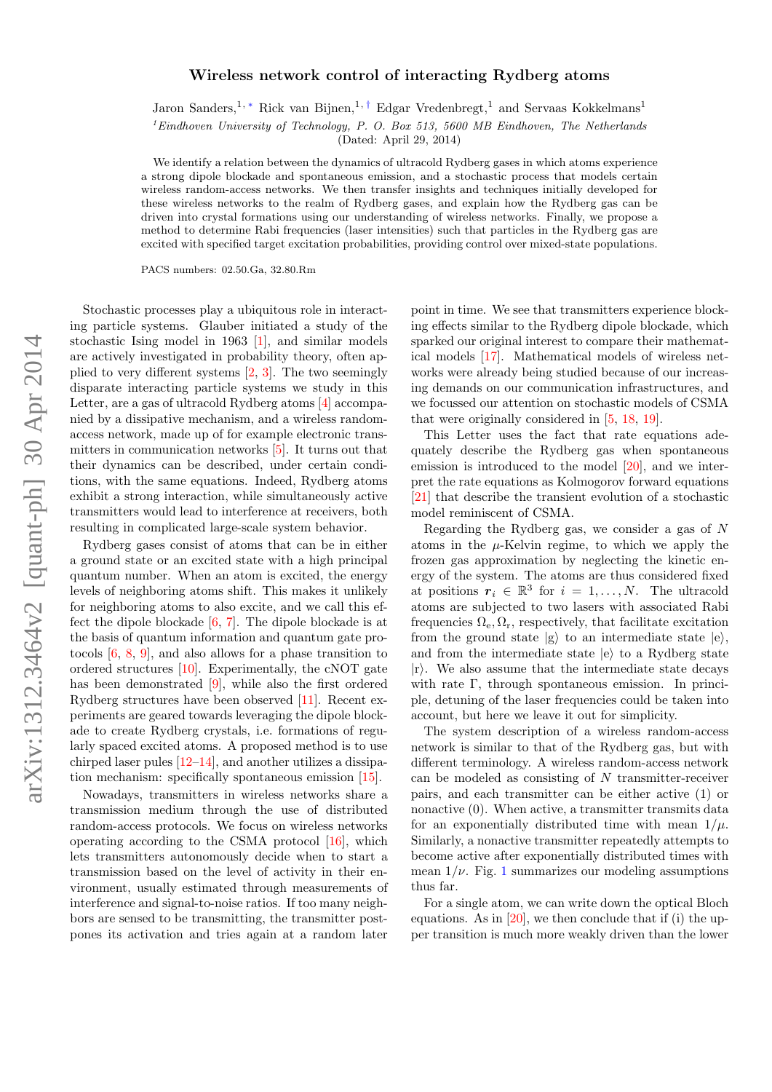## arXiv:1312.3464v2 [quant-ph] 30 Apr 2014 arXiv:1312.3464v2 [quant-ph] 30 Apr 2014

## Wireless network control of interacting Rydberg atoms

Jaron Sanders,<sup>1,\*</sup> Rick van Bijnen,<sup>1,[†](#page-4-1)</sup> Edgar Vredenbregt,<sup>1</sup> and Servaas Kokkelmans<sup>1</sup>

 ${}^{1}$ Eindhoven University of Technology, P. O. Box 513, 5600 MB Eindhoven, The Netherlands

(Dated: April 29, 2014)

We identify a relation between the dynamics of ultracold Rydberg gases in which atoms experience a strong dipole blockade and spontaneous emission, and a stochastic process that models certain wireless random-access networks. We then transfer insights and techniques initially developed for these wireless networks to the realm of Rydberg gases, and explain how the Rydberg gas can be driven into crystal formations using our understanding of wireless networks. Finally, we propose a method to determine Rabi frequencies (laser intensities) such that particles in the Rydberg gas are excited with specified target excitation probabilities, providing control over mixed-state populations.

PACS numbers: 02.50.Ga, 32.80.Rm

Stochastic processes play a ubiquitous role in interacting particle systems. Glauber initiated a study of the stochastic Ising model in 1963 [\[1\]](#page-4-2), and similar models are actively investigated in probability theory, often applied to very different systems [\[2,](#page-4-3) [3\]](#page-4-4). The two seemingly disparate interacting particle systems we study in this Letter, are a gas of ultracold Rydberg atoms [\[4\]](#page-4-5) accompanied by a dissipative mechanism, and a wireless randomaccess network, made up of for example electronic transmitters in communication networks [\[5\]](#page-4-6). It turns out that their dynamics can be described, under certain conditions, with the same equations. Indeed, Rydberg atoms exhibit a strong interaction, while simultaneously active transmitters would lead to interference at receivers, both resulting in complicated large-scale system behavior.

Rydberg gases consist of atoms that can be in either a ground state or an excited state with a high principal quantum number. When an atom is excited, the energy levels of neighboring atoms shift. This makes it unlikely for neighboring atoms to also excite, and we call this effect the dipole blockade [\[6,](#page-4-7) [7\]](#page-4-8). The dipole blockade is at the basis of quantum information and quantum gate protocols [\[6,](#page-4-7) [8,](#page-4-9) [9\]](#page-4-10), and also allows for a phase transition to ordered structures [\[10\]](#page-4-11). Experimentally, the cNOT gate has been demonstrated [\[9\]](#page-4-10), while also the first ordered Rydberg structures have been observed [\[11\]](#page-4-12). Recent experiments are geared towards leveraging the dipole blockade to create Rydberg crystals, i.e. formations of regularly spaced excited atoms. A proposed method is to use chirped laser pules [\[12](#page-4-13)[–14\]](#page-4-14), and another utilizes a dissipation mechanism: specifically spontaneous emission [\[15\]](#page-4-15).

Nowadays, transmitters in wireless networks share a transmission medium through the use of distributed random-access protocols. We focus on wireless networks operating according to the CSMA protocol  $[16]$ , which lets transmitters autonomously decide when to start a transmission based on the level of activity in their environment, usually estimated through measurements of interference and signal-to-noise ratios. If too many neighbors are sensed to be transmitting, the transmitter postpones its activation and tries again at a random later

point in time. We see that transmitters experience blocking effects similar to the Rydberg dipole blockade, which sparked our original interest to compare their mathematical models [\[17\]](#page-4-17). Mathematical models of wireless networks were already being studied because of our increasing demands on our communication infrastructures, and we focussed our attention on stochastic models of CSMA that were originally considered in [\[5,](#page-4-6) [18,](#page-4-18) [19\]](#page-4-19).

This Letter uses the fact that rate equations adequately describe the Rydberg gas when spontaneous emission is introduced to the model [\[20\]](#page-4-20), and we interpret the rate equations as Kolmogorov forward equations [\[21\]](#page-4-21) that describe the transient evolution of a stochastic model reminiscent of CSMA.

Regarding the Rydberg gas, we consider a gas of N atoms in the  $\mu$ -Kelvin regime, to which we apply the frozen gas approximation by neglecting the kinetic energy of the system. The atoms are thus considered fixed at positions  $r_i \in \mathbb{R}^3$  for  $i = 1, ..., N$ . The ultracold atoms are subjected to two lasers with associated Rabi frequencies  $\Omega_e, \Omega_r$ , respectively, that facilitate excitation from the ground state  $|g\rangle$  to an intermediate state  $|e\rangle$ , and from the intermediate state  $|e\rangle$  to a Rydberg state  $|r\rangle$ . We also assume that the intermediate state decays with rate Γ, through spontaneous emission. In principle, detuning of the laser frequencies could be taken into account, but here we leave it out for simplicity.

The system description of a wireless random-access network is similar to that of the Rydberg gas, but with different terminology. A wireless random-access network can be modeled as consisting of  $N$  transmitter-receiver pairs, and each transmitter can be either active (1) or nonactive  $(0)$ . When active, a transmitter transmits data for an exponentially distributed time with mean  $1/\mu$ . Similarly, a nonactive transmitter repeatedly attempts to become active after exponentially distributed times with mean  $1/\nu$  $1/\nu$ . Fig. 1 summarizes our modeling assumptions thus far.

For a single atom, we can write down the optical Bloch equations. As in  $[20]$ , we then conclude that if (i) the upper transition is much more weakly driven than the lower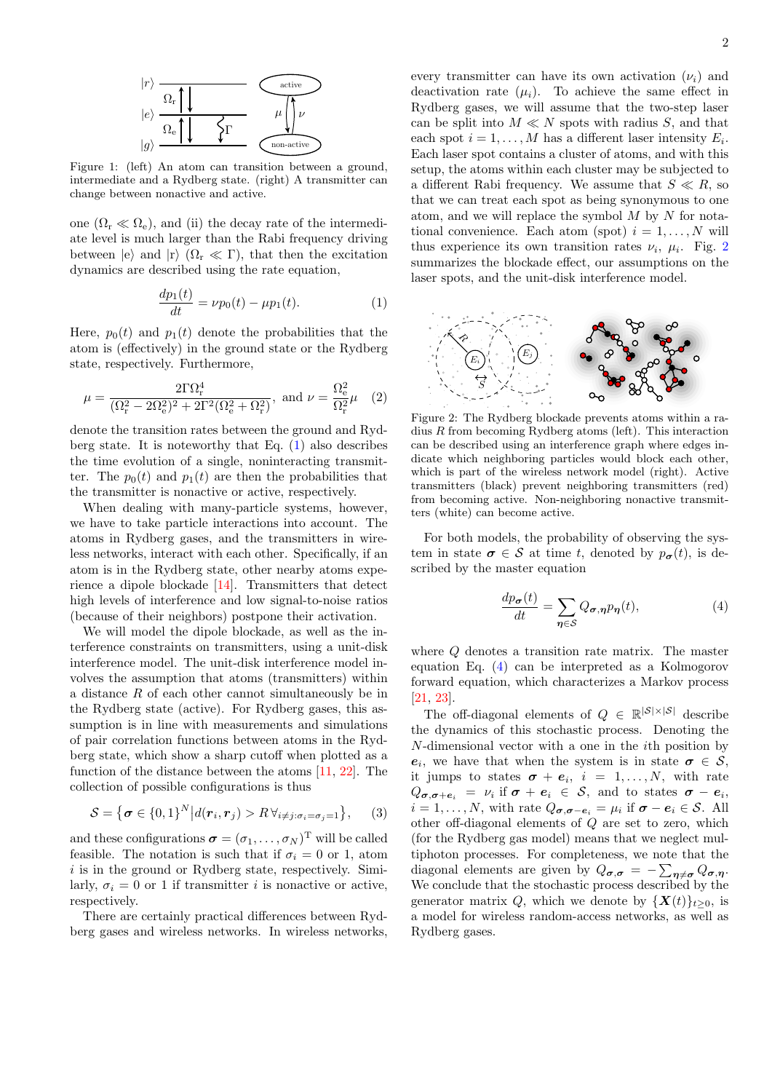

<span id="page-1-0"></span>Figure 1: (left) An atom can transition between a ground, intermediate and a Rydberg state. (right) A transmitter can change between nonactive and active.

one  $(\Omega_{\rm r} \ll \Omega_{\rm e})$ , and (ii) the decay rate of the intermediate level is much larger than the Rabi frequency driving between  $|e\rangle$  and  $|r\rangle$   $(\Omega_r \ll \Gamma)$ , that then the excitation dynamics are described using the rate equation,

<span id="page-1-1"></span>
$$
\frac{dp_1(t)}{dt} = \nu p_0(t) - \mu p_1(t). \tag{1}
$$

Here,  $p_0(t)$  and  $p_1(t)$  denote the probabilities that the atom is (effectively) in the ground state or the Rydberg state, respectively. Furthermore,

$$
\mu = \frac{2\Gamma\Omega_{\rm r}^4}{(\Omega_{\rm r}^2 - 2\Omega_{\rm e}^2)^2 + 2\Gamma^2(\Omega_{\rm e}^2 + \Omega_{\rm r}^2)}, \text{ and } \nu = \frac{\Omega_{\rm e}^2}{\Omega_{\rm r}^2}\mu \quad (2)
$$

denote the transition rates between the ground and Rydberg state. It is noteworthy that Eq.  $(1)$  also describes the time evolution of a single, noninteracting transmitter. The  $p_0(t)$  and  $p_1(t)$  are then the probabilities that the transmitter is nonactive or active, respectively.

When dealing with many-particle systems, however, we have to take particle interactions into account. The atoms in Rydberg gases, and the transmitters in wireless networks, interact with each other. Specifically, if an atom is in the Rydberg state, other nearby atoms experience a dipole blockade [\[14\]](#page-4-14). Transmitters that detect high levels of interference and low signal-to-noise ratios (because of their neighbors) postpone their activation.

We will model the dipole blockade, as well as the interference constraints on transmitters, using a unit-disk interference model. The unit-disk interference model involves the assumption that atoms (transmitters) within a distance R of each other cannot simultaneously be in the Rydberg state (active). For Rydberg gases, this assumption is in line with measurements and simulations of pair correlation functions between atoms in the Rydberg state, which show a sharp cutoff when plotted as a function of the distance between the atoms [\[11,](#page-4-12) [22\]](#page-4-22). The collection of possible configurations is thus

$$
S = {\sigma \in \{0,1\}^N | d(r_i, r_j) > R \forall_{i \neq j: \sigma_i = \sigma_j = 1} \}, \quad (3)
$$

and these configurations  $\boldsymbol{\sigma} = (\sigma_1, \dots, \sigma_N)^T$  will be called feasible. The notation is such that if  $\sigma_i = 0$  or 1, atom  $i$  is in the ground or Rydberg state, respectively. Similarly,  $\sigma_i = 0$  or 1 if transmitter *i* is nonactive or active, respectively.

There are certainly practical differences between Rydberg gases and wireless networks. In wireless networks,

every transmitter can have its own activation  $(\nu_i)$  and deactivation rate  $(\mu_i)$ . To achieve the same effect in Rydberg gases, we will assume that the two-step laser can be split into  $M \ll N$  spots with radius S, and that each spot  $i = 1, ..., M$  has a different laser intensity  $E_i$ . Each laser spot contains a cluster of atoms, and with this setup, the atoms within each cluster may be subjected to a different Rabi frequency. We assume that  $S \ll R$ , so that we can treat each spot as being synonymous to one atom, and we will replace the symbol  $M$  by  $N$  for notational convenience. Each atom (spot)  $i = 1, \ldots, N$  will thus experience its own transition rates  $\nu_i$ ,  $\mu_i$ . Fig. [2](#page-1-2) summarizes the blockade effect, our assumptions on the laser spots, and the unit-disk interference model.



<span id="page-1-2"></span>Figure 2: The Rydberg blockade prevents atoms within a radius  $R$  from becoming Rydberg atoms (left). This interaction can be described using an interference graph where edges indicate which neighboring particles would block each other, which is part of the wireless network model (right). Active transmitters (black) prevent neighboring transmitters (red) from becoming active. Non-neighboring nonactive transmitters (white) can become active.

For both models, the probability of observing the system in state  $\sigma \in \mathcal{S}$  at time t, denoted by  $p_{\sigma}(t)$ , is described by the master equation

<span id="page-1-3"></span>
$$
\frac{dp_{\sigma}(t)}{dt} = \sum_{\eta \in S} Q_{\sigma, \eta} p_{\eta}(t),\tag{4}
$$

where Q denotes a transition rate matrix. The master equation Eq. [\(4\)](#page-1-3) can be interpreted as a Kolmogorov forward equation, which characterizes a Markov process [\[21,](#page-4-21) [23\]](#page-4-23).

The off-diagonal elements of  $Q \in \mathbb{R}^{|\mathcal{S}| \times |\mathcal{S}|}$  describe the dynamics of this stochastic process. Denoting the N-dimensional vector with a one in the ith position by  $e_i$ , we have that when the system is in state  $\sigma \in \mathcal{S}$ , it jumps to states  $\sigma + e_i$ ,  $i = 1, ..., N$ , with rate  $Q_{\boldsymbol{\sigma}, \boldsymbol{\sigma} + \boldsymbol{e}_i} = \nu_i \text{ if } \boldsymbol{\sigma} + \boldsymbol{e}_i \in \mathcal{S}, \text{ and to states } \boldsymbol{\sigma} - \boldsymbol{e}_i,$  $i = 1, \ldots, N$ , with rate  $Q_{\boldsymbol{\sigma}, \boldsymbol{\sigma} - \boldsymbol{e}_i} = \mu_i$  if  $\boldsymbol{\sigma} - \boldsymbol{e}_i \in \mathcal{S}$ . All other off-diagonal elements of Q are set to zero, which (for the Rydberg gas model) means that we neglect multiphoton processes. For completeness, we note that the diagonal elements are given by  $Q_{\sigma,\sigma} = -\sum_{\eta \neq \sigma} Q_{\sigma,\eta}$ . We conclude that the stochastic process described by the generator matrix Q, which we denote by  $\{X(t)\}_{t\geq0}$ , is a model for wireless random-access networks, as well as Rydberg gases.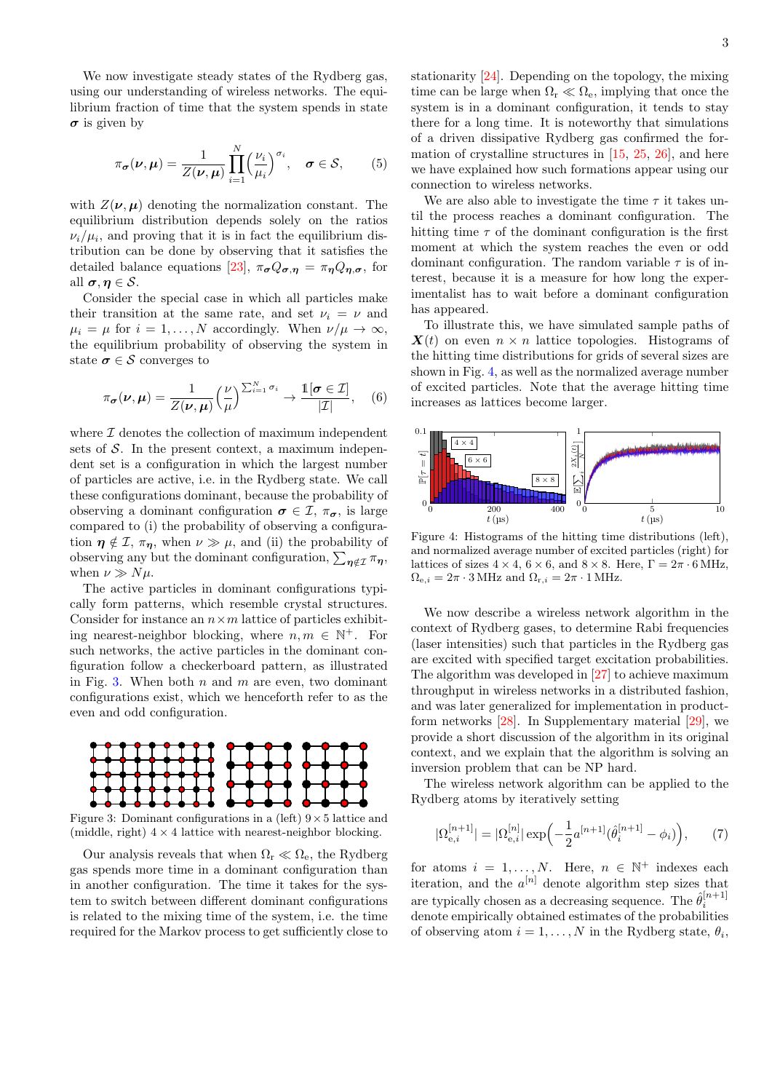We now investigate steady states of the Rydberg gas, using our understanding of wireless networks. The equilibrium fraction of time that the system spends in state  $\sigma$  is given by

$$
\pi_{\sigma}(\nu,\mu) = \frac{1}{Z(\nu,\mu)} \prod_{i=1}^{N} \left(\frac{\nu_i}{\mu_i}\right)^{\sigma_i}, \quad \sigma \in \mathcal{S}, \qquad (5)
$$

with  $Z(\nu, \mu)$  denoting the normalization constant. The equilibrium distribution depends solely on the ratios  $\nu_i/\mu_i$ , and proving that it is in fact the equilibrium distribution can be done by observing that it satisfies the detailed balance equations [\[23\]](#page-4-23),  $\pi_{\sigma} Q_{\sigma,\eta} = \pi_{\eta} Q_{\eta,\sigma}$ , for all  $\sigma, \eta \in \mathcal{S}$ .

Consider the special case in which all particles make their transition at the same rate, and set  $\nu_i = \nu$  and  $\mu_i = \mu$  for  $i = 1, ..., N$  accordingly. When  $\nu/\mu \to \infty$ , the equilibrium probability of observing the system in state  $\sigma \in \mathcal{S}$  converges to

$$
\pi_{\boldsymbol{\sigma}}(\boldsymbol{\nu}, \boldsymbol{\mu}) = \frac{1}{Z(\boldsymbol{\nu}, \boldsymbol{\mu})} \Big(\frac{\nu}{\mu}\Big)^{\sum_{i=1}^{N} \sigma_i} \to \frac{\mathbb{1}[\boldsymbol{\sigma} \in \mathcal{I}]}{|\mathcal{I}|}, \quad (6)
$$

where  $\mathcal I$  denotes the collection of maximum independent sets of  $S$ . In the present context, a maximum independent set is a configuration in which the largest number of particles are active, i.e. in the Rydberg state. We call these configurations dominant, because the probability of observing a dominant configuration  $\sigma \in \mathcal{I}, \pi_{\sigma}$ , is large compared to (i) the probability of observing a configuration  $\eta \notin \mathcal{I}, \pi_{\eta}$ , when  $\nu \gg \mu$ , and (ii) the probability of observing any but the dominant configuration,  $\sum_{\eta \notin \mathcal{I}} \pi_{\eta}$ , when  $\nu \gg N\mu$ .

The active particles in dominant configurations typically form patterns, which resemble crystal structures. Consider for instance an  $n \times m$  lattice of particles exhibiting nearest-neighbor blocking, where  $n, m \in \mathbb{N}^+$ . For such networks, the active particles in the dominant configuration follow a checkerboard pattern, as illustrated in Fig. [3.](#page-2-0) When both  $n$  and  $m$  are even, two dominant configurations exist, which we henceforth refer to as the even and odd configuration.



<span id="page-2-0"></span>Figure 3: Dominant configurations in a (left)  $9 \times 5$  lattice and (middle, right)  $4 \times 4$  lattice with nearest-neighbor blocking.

Our analysis reveals that when  $\Omega_r \ll \Omega_e$ , the Rydberg gas spends more time in a dominant configuration than in another configuration. The time it takes for the system to switch between different dominant configurations is related to the mixing time of the system, i.e. the time required for the Markov process to get sufficiently close to

stationarity [\[24\]](#page-4-24). Depending on the topology, the mixing time can be large when  $\Omega_r \ll \Omega_e$ , implying that once the system is in a dominant configuration, it tends to stay there for a long time. It is noteworthy that simulations of a driven dissipative Rydberg gas confirmed the formation of crystalline structures in [\[15,](#page-4-15) [25,](#page-4-25) [26\]](#page-4-26), and here we have explained how such formations appear using our connection to wireless networks.

We are also able to investigate the time  $\tau$  it takes until the process reaches a dominant configuration. The hitting time  $\tau$  of the dominant configuration is the first moment at which the system reaches the even or odd dominant configuration. The random variable  $\tau$  is of interest, because it is a measure for how long the experimentalist has to wait before a dominant configuration has appeared.

To illustrate this, we have simulated sample paths of  $\mathbf{X}(t)$  on even  $n \times n$  lattice topologies. Histograms of the hitting time distributions for grids of several sizes are shown in Fig. [4,](#page-2-1) as well as the normalized average number of excited particles. Note that the average hitting time increases as lattices become larger.



<span id="page-2-1"></span>Figure 4: Histograms of the hitting time distributions (left), and normalized average number of excited particles (right) for lattices of sizes  $4 \times 4$ ,  $6 \times 6$ , and  $8 \times 8$ . Here,  $\Gamma = 2\pi \cdot 6$  MHz,  $\Omega_{\text{e},i} = 2\pi \cdot 3 \text{ MHz}$  and  $\Omega_{\text{r},i} = 2\pi \cdot 1 \text{ MHz}$ .

We now describe a wireless network algorithm in the context of Rydberg gases, to determine Rabi frequencies (laser intensities) such that particles in the Rydberg gas are excited with specified target excitation probabilities. The algorithm was developed in [\[27\]](#page-4-27) to achieve maximum throughput in wireless networks in a distributed fashion, and was later generalized for implementation in productform networks [\[28\]](#page-4-28). In Supplementary material [\[29\]](#page-4-29), we provide a short discussion of the algorithm in its original context, and we explain that the algorithm is solving an inversion problem that can be NP hard.

The wireless network algorithm can be applied to the Rydberg atoms by iteratively setting

<span id="page-2-2"></span>
$$
|\Omega_{\mathbf{e},i}^{[n+1]}| = |\Omega_{\mathbf{e},i}^{[n]}| \exp\left(-\frac{1}{2}a^{[n+1]}(\hat{\theta}_i^{[n+1]} - \phi_i)\right),\tag{7}
$$

for atoms  $i = 1, ..., N$ . Here,  $n \in \mathbb{N}^+$  indexes each iteration, and the  $a^{[n]}$  denote algorithm step sizes that are typically chosen as a decreasing sequence. The  $\hat{\theta}_i^{[n+1]}$ denote empirically obtained estimates of the probabilities of observing atom  $i = 1, ..., N$  in the Rydberg state,  $\theta_i$ ,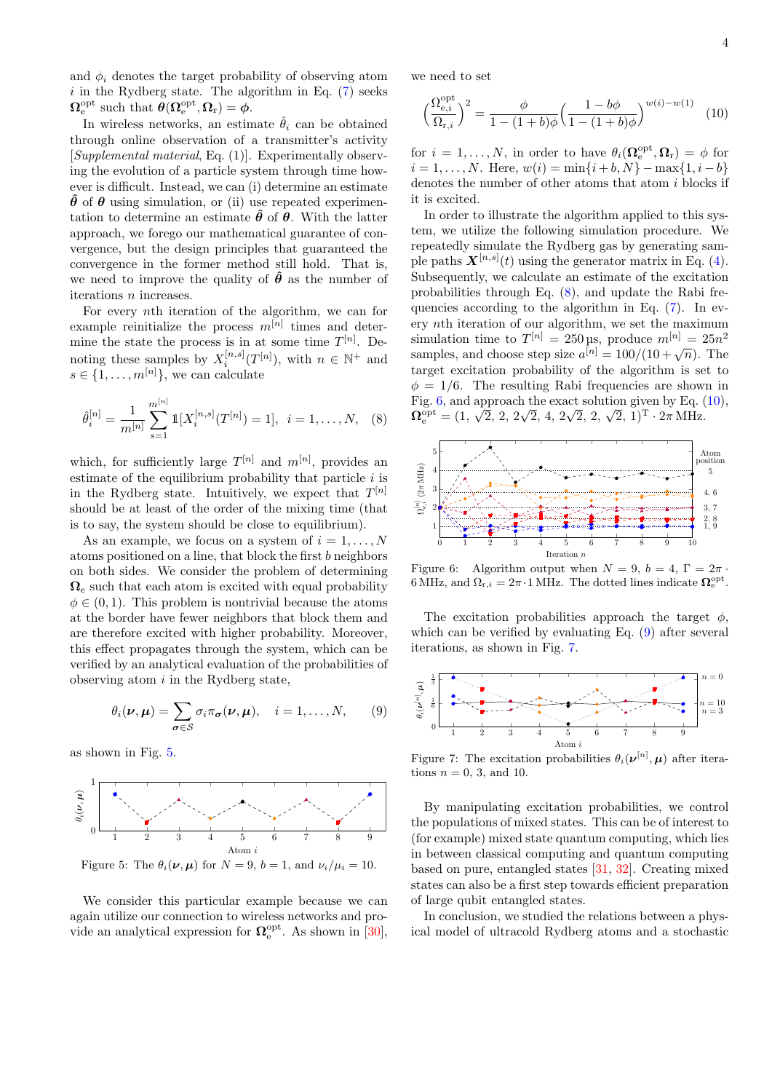and  $\phi_i$  denotes the target probability of observing atom  $i$  in the Rydberg state. The algorithm in Eq.  $(7)$  seeks  $\Omega_{\rm e}^{\rm opt}$  such that  $\theta(\Omega_{\rm e}^{\rm opt},\Omega_{\rm r})=\phi$ .

In wireless networks, an estimate  $\hat{\theta}_i$  can be obtained through online observation of a transmitter's activity [Supplemental material, Eq. (1)]. Experimentally observing the evolution of a particle system through time however is difficult. Instead, we can (i) determine an estimate  $\hat{\theta}$  of  $\theta$  using simulation, or (ii) use repeated experimentation to determine an estimate  $\hat{\theta}$  of  $\theta$ . With the latter approach, we forego our mathematical guarantee of convergence, but the design principles that guaranteed the convergence in the former method still hold. That is, we need to improve the quality of  $\hat{\theta}$  as the number of iterations n increases.

For every nth iteration of the algorithm, we can for example reinitialize the process  $m^{[n]}$  times and determine the state the process is in at some time  $T^{[n]}$ . Denoting these samples by  $X_i^{[n,s]}(T^{[n]})$ , with  $n \in \mathbb{N}^+$  and  $s \in \{1, \ldots, m^{[n]}\}\text{, we can calculate }$ 

<span id="page-3-1"></span>
$$
\hat{\theta}_i^{[n]} = \frac{1}{m^{[n]}} \sum_{s=1}^{m^{[n]}} \mathbb{1}[X_i^{[n,s]}(T^{[n]}) = 1], \quad i = 1, \dots, N, \quad (8)
$$

which, for sufficiently large  $T^{[n]}$  and  $m^{[n]}$ , provides an estimate of the equilibrium probability that particle  $i$  is in the Rydberg state. Intuitively, we expect that  $T^{[n]}$ should be at least of the order of the mixing time (that is to say, the system should be close to equilibrium).

As an example, we focus on a system of  $i = 1, \ldots, N$ atoms positioned on a line, that block the first b neighbors on both sides. We consider the problem of determining  $\Omega_e$  such that each atom is excited with equal probability  $\phi \in (0, 1)$ . This problem is nontrivial because the atoms at the border have fewer neighbors that block them and are therefore excited with higher probability. Moreover, this effect propagates through the system, which can be verified by an analytical evaluation of the probabilities of observing atom  $i$  in the Rydberg state,

<span id="page-3-4"></span>
$$
\theta_i(\nu,\mu) = \sum_{\sigma \in S} \sigma_i \pi_{\sigma}(\nu,\mu), \quad i = 1,\ldots,N,
$$
 (9)

as shown in Fig. [5.](#page-3-0)



<span id="page-3-0"></span>Figure 5: The  $\theta_i(\nu, \mu)$  for  $N = 9$ ,  $b = 1$ , and  $\nu_i/\mu_i = 10$ .

We consider this particular example because we can again utilize our connection to wireless networks and provide an analytical expression for  $\Omega_{\rm e}^{\rm opt}$ . As shown in [\[30\]](#page-4-30), we need to set

<span id="page-3-3"></span>
$$
\left(\frac{\Omega_{e,i}^{\text{opt}}}{\Omega_{r,i}}\right)^2 = \frac{\phi}{1 - (1+b)\phi} \left(\frac{1 - b\phi}{1 - (1+b)\phi}\right)^{w(i) - w(1)} \tag{10}
$$

for  $i = 1, ..., N$ , in order to have  $\theta_i(\Omega_e^{\text{opt}}, \Omega_r) = \phi$  for  $i = 1, \ldots, N$ . Here,  $w(i) = \min\{i + b, N\} - \max\{1, i - b\}$ denotes the number of other atoms that atom  $i$  blocks if it is excited.

In order to illustrate the algorithm applied to this system, we utilize the following simulation procedure. We repeatedly simulate the Rydberg gas by generating sample paths  $\mathbf{X}^{[n,s]}(t)$  using the generator matrix in Eq. [\(4\)](#page-1-3). Subsequently, we calculate an estimate of the excitation probabilities through Eq. [\(8\)](#page-3-1), and update the Rabi frequencies according to the algorithm in Eq. [\(7\)](#page-2-2). In every nth iteration of our algorithm, we set the maximum simulation time to  $T^{[n]} = 250 \,\text{ps}$ , produce  $m^{[n]} = 25n^2$ samples, and choose step size  $a^{[n]} = 100/(10+\sqrt{n})$ . The target excitation probability of the algorithm is set to  $\phi = 1/6$ . The resulting Rabi frequencies are shown in Fig. [6,](#page-3-2) and approach the exact solution given by Eq. [\(10\)](#page-3-3),  $\Omega_{\rm e}^{\rm opt} = (1, \sqrt{2}, 2, 2\sqrt{2}, 4, 2\sqrt{2}, 2, \sqrt{2}, 1)^{\rm T} \cdot 2\pi$  MHz.



<span id="page-3-2"></span>Figure 6: Algorithm output when  $N = 9$ ,  $b = 4$ ,  $\Gamma = 2\pi$ . 6 MHz, and  $\Omega_{r,i} = 2\pi \cdot 1$  MHz. The dotted lines indicate  $\Omega_e^{\text{opt}}$ .

The excitation probabilities approach the target  $\phi$ , which can be verified by evaluating Eq.  $(9)$  after several iterations, as shown in Fig. [7.](#page-3-5)



<span id="page-3-5"></span>Figure 7: The excitation probabilities  $\theta_i(\boldsymbol{\nu}^{[n]}, \boldsymbol{\mu})$  after iterations  $n = 0, 3$ , and 10.

By manipulating excitation probabilities, we control the populations of mixed states. This can be of interest to (for example) mixed state quantum computing, which lies in between classical computing and quantum computing based on pure, entangled states [\[31,](#page-4-31) [32\]](#page-4-32). Creating mixed states can also be a first step towards efficient preparation of large qubit entangled states.

In conclusion, we studied the relations between a physical model of ultracold Rydberg atoms and a stochastic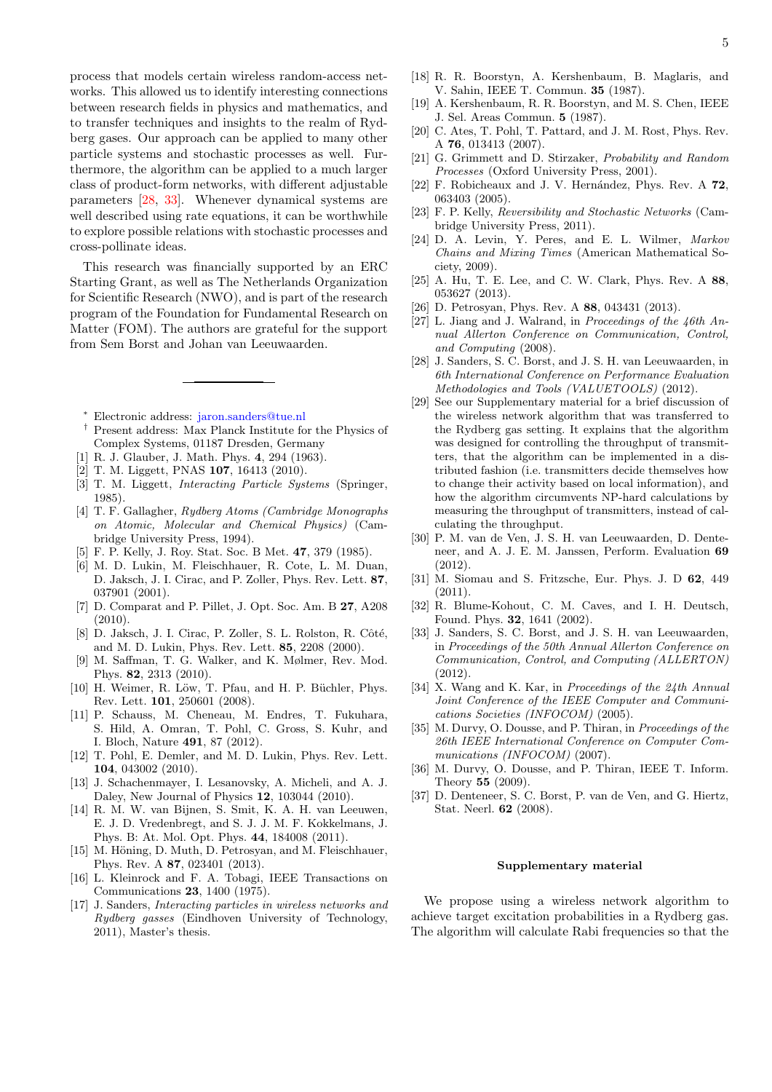process that models certain wireless random-access networks. This allowed us to identify interesting connections between research fields in physics and mathematics, and to transfer techniques and insights to the realm of Rydberg gases. Our approach can be applied to many other particle systems and stochastic processes as well. Furthermore, the algorithm can be applied to a much larger class of product-form networks, with different adjustable parameters [\[28,](#page-4-28) [33\]](#page-4-33). Whenever dynamical systems are well described using rate equations, it can be worthwhile to explore possible relations with stochastic processes and cross-pollinate ideas.

This research was financially supported by an ERC Starting Grant, as well as The Netherlands Organization for Scientific Research (NWO), and is part of the research program of the Foundation for Fundamental Research on Matter (FOM). The authors are grateful for the support from Sem Borst and Johan van Leeuwaarden.

- <span id="page-4-0"></span><sup>∗</sup> Electronic address: [jaron.sanders@tue.nl](mailto:jaron.sanders@tue.nl)
- <span id="page-4-1"></span>† Present address: Max Planck Institute for the Physics of Complex Systems, 01187 Dresden, Germany
- <span id="page-4-2"></span>[1] R. J. Glauber, J. Math. Phys. 4, 294 (1963).
- <span id="page-4-3"></span>[2] T. M. Liggett, PNAS 107, 16413 (2010).
- <span id="page-4-4"></span>[3] T. M. Liggett, Interacting Particle Systems (Springer, 1985).
- <span id="page-4-5"></span>[4] T. F. Gallagher, Rydberg Atoms (Cambridge Monographs on Atomic, Molecular and Chemical Physics) (Cambridge University Press, 1994).
- <span id="page-4-6"></span>[5] F. P. Kelly, J. Roy. Stat. Soc. B Met. 47, 379 (1985).
- <span id="page-4-7"></span>[6] M. D. Lukin, M. Fleischhauer, R. Cote, L. M. Duan, D. Jaksch, J. I. Cirac, and P. Zoller, Phys. Rev. Lett. 87, 037901 (2001).
- <span id="page-4-8"></span>[7] D. Comparat and P. Pillet, J. Opt. Soc. Am. B 27, A208  $(2010).$
- <span id="page-4-9"></span>[8] D. Jaksch, J. I. Cirac, P. Zoller, S. L. Rolston, R. Côté, and M. D. Lukin, Phys. Rev. Lett. 85, 2208 (2000).
- <span id="page-4-10"></span>[9] M. Saffman, T. G. Walker, and K. Mølmer, Rev. Mod. Phys. 82, 2313 (2010).
- <span id="page-4-11"></span>[10] H. Weimer, R. Löw, T. Pfau, and H. P. Büchler, Phys. Rev. Lett. 101, 250601 (2008).
- <span id="page-4-12"></span>[11] P. Schauss, M. Cheneau, M. Endres, T. Fukuhara, S. Hild, A. Omran, T. Pohl, C. Gross, S. Kuhr, and I. Bloch, Nature 491, 87 (2012).
- <span id="page-4-13"></span>[12] T. Pohl, E. Demler, and M. D. Lukin, Phys. Rev. Lett. 104, 043002 (2010).
- [13] J. Schachenmayer, I. Lesanovsky, A. Micheli, and A. J. Daley, New Journal of Physics 12, 103044 (2010).
- <span id="page-4-14"></span>[14] R. M. W. van Bijnen, S. Smit, K. A. H. van Leeuwen, E. J. D. Vredenbregt, and S. J. J. M. F. Kokkelmans, J. Phys. B: At. Mol. Opt. Phys. 44, 184008 (2011).
- <span id="page-4-15"></span>[15] M. Höning, D. Muth, D. Petrosyan, and M. Fleischhauer, Phys. Rev. A 87, 023401 (2013).
- <span id="page-4-16"></span>[16] L. Kleinrock and F. A. Tobagi, IEEE Transactions on Communications 23, 1400 (1975).
- <span id="page-4-17"></span>[17] J. Sanders, Interacting particles in wireless networks and Rydberg gasses (Eindhoven University of Technology, 2011), Master's thesis.
- <span id="page-4-18"></span>[18] R. R. Boorstyn, A. Kershenbaum, B. Maglaris, and V. Sahin, IEEE T. Commun. 35 (1987).
- <span id="page-4-19"></span>[19] A. Kershenbaum, R. R. Boorstyn, and M. S. Chen, IEEE J. Sel. Areas Commun. 5 (1987).
- <span id="page-4-20"></span>[20] C. Ates, T. Pohl, T. Pattard, and J. M. Rost, Phys. Rev. A 76, 013413 (2007).
- <span id="page-4-21"></span>[21] G. Grimmett and D. Stirzaker, Probability and Random Processes (Oxford University Press, 2001).
- <span id="page-4-22"></span>[22] F. Robicheaux and J. V. Hernández, Phys. Rev. A 72, 063403 (2005).
- <span id="page-4-23"></span>[23] F. P. Kelly, Reversibility and Stochastic Networks (Cambridge University Press, 2011).
- <span id="page-4-24"></span>[24] D. A. Levin, Y. Peres, and E. L. Wilmer, Markov Chains and Mixing Times (American Mathematical Society, 2009).
- <span id="page-4-25"></span>[25] A. Hu, T. E. Lee, and C. W. Clark, Phys. Rev. A 88, 053627 (2013).
- <span id="page-4-26"></span>[26] D. Petrosyan, Phys. Rev. A 88, 043431 (2013).
- <span id="page-4-27"></span>[27] L. Jiang and J. Walrand, in Proceedings of the 46th Annual Allerton Conference on Communication, Control, and Computing (2008).
- <span id="page-4-28"></span>[28] J. Sanders, S. C. Borst, and J. S. H. van Leeuwaarden, in 6th International Conference on Performance Evaluation Methodologies and Tools (VALUETOOLS) (2012).
- <span id="page-4-29"></span>[29] See our Supplementary material for a brief discussion of the wireless network algorithm that was transferred to the Rydberg gas setting. It explains that the algorithm was designed for controlling the throughput of transmitters, that the algorithm can be implemented in a distributed fashion (i.e. transmitters decide themselves how to change their activity based on local information), and how the algorithm circumvents NP-hard calculations by measuring the throughput of transmitters, instead of calculating the throughput.
- <span id="page-4-30"></span>[30] P. M. van de Ven, J. S. H. van Leeuwaarden, D. Denteneer, and A. J. E. M. Janssen, Perform. Evaluation 69  $(2012)$
- <span id="page-4-31"></span>[31] M. Siomau and S. Fritzsche, Eur. Phys. J. D 62, 449 (2011).
- <span id="page-4-32"></span>[32] R. Blume-Kohout, C. M. Caves, and I. H. Deutsch, Found. Phys. 32, 1641 (2002).
- <span id="page-4-33"></span>[33] J. Sanders, S. C. Borst, and J. S. H. van Leeuwaarden, in Proceedings of the 50th Annual Allerton Conference on Communication, Control, and Computing (ALLERTON) (2012).
- <span id="page-4-34"></span>[34] X. Wang and K. Kar, in Proceedings of the 24th Annual Joint Conference of the IEEE Computer and Communications Societies (INFOCOM) (2005).
- [35] M. Durvy, O. Dousse, and P. Thiran, in Proceedings of the 26th IEEE International Conference on Computer Communications (INFOCOM) (2007).
- [36] M. Durvy, O. Dousse, and P. Thiran, IEEE T. Inform. Theory 55 (2009).
- <span id="page-4-35"></span>[37] D. Denteneer, S. C. Borst, P. van de Ven, and G. Hiertz, Stat. Neerl. 62 (2008).

## Supplementary material

We propose using a wireless network algorithm to achieve target excitation probabilities in a Rydberg gas. The algorithm will calculate Rabi frequencies so that the